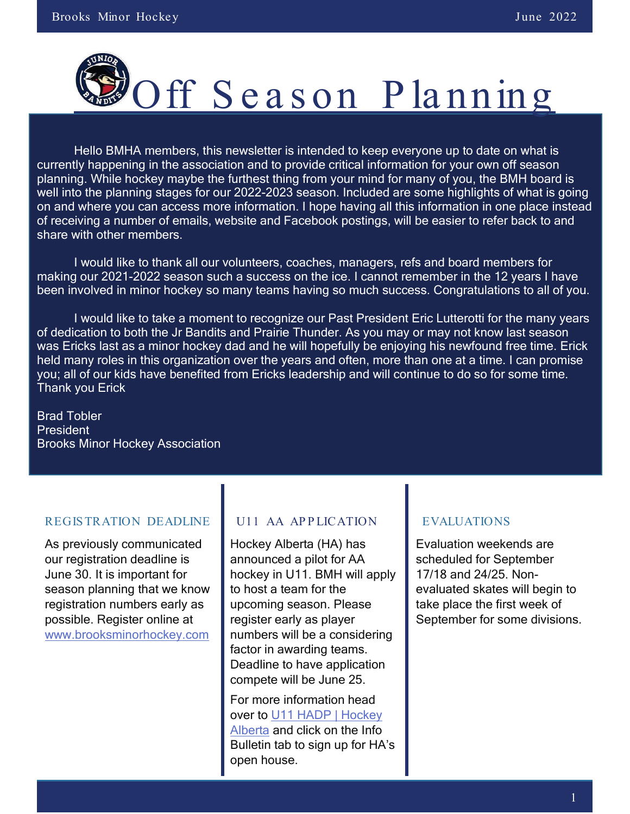

Hello BMHA members, this newsletter is intended to keep everyone up to date on what is currently happening in the association and to provide critical information for your own off season planning. While hockey maybe the furthest thing from your mind for many of you, the BMH board is well into the planning stages for our 2022-2023 season. Included are some highlights of what is going on and where you can access more information. I hope having all this information in one place instead of receiving a number of emails, website and Facebook postings, will be easier to refer back to and share with other members.

I would like to thank all our volunteers, coaches, managers, refs and board members for making our 2021-2022 season such a success on the ice. I cannot remember in the 12 years I have been involved in minor hockey so many teams having so much success. Congratulations to all of you.

I would like to take a moment to recognize our Past President Eric Lutterotti for the many years of dedication to both the Jr Bandits and Prairie Thunder. As you may or may not know last season was Ericks last as a minor hockey dad and he will hopefully be enjoying his newfound free time. Erick held many roles in this organization over the years and often, more than one at a time. I can promise you; all of our kids have benefited from Ericks leadership and will continue to do so for some time. Thank you Erick

Brad Tobler **President** Brooks Minor Hockey Association

#### REGIS TRATION DEADLINE

As previously communicated our registration deadline is June 30. It is important for season planning that we know registration numbers early as possible. Register online at [www.brooksminorhockey.com](http://www.brooksminorhockey.com/)

#### U11 AA APPLICATION

Hockey Alberta (HA) has announced a pilot for AA hockey in U11. BMH will apply to host a team for the upcoming season. Please register early as player numbers will be a considering factor in awarding teams. Deadline to have application compete will be June 25.

For more information head over to [U11 HADP | Hockey](https://www.hockeyalberta.ca/players/u11-pathway/u11-hadp/)  [Alberta](https://www.hockeyalberta.ca/players/u11-pathway/u11-hadp/) and click on the Info Bulletin tab to sign up for HA's open house.

#### EVALUATIONS

Evaluation weekends are scheduled for September 17/18 and 24/25. Nonevaluated skates will begin to take place the first week of September for some divisions.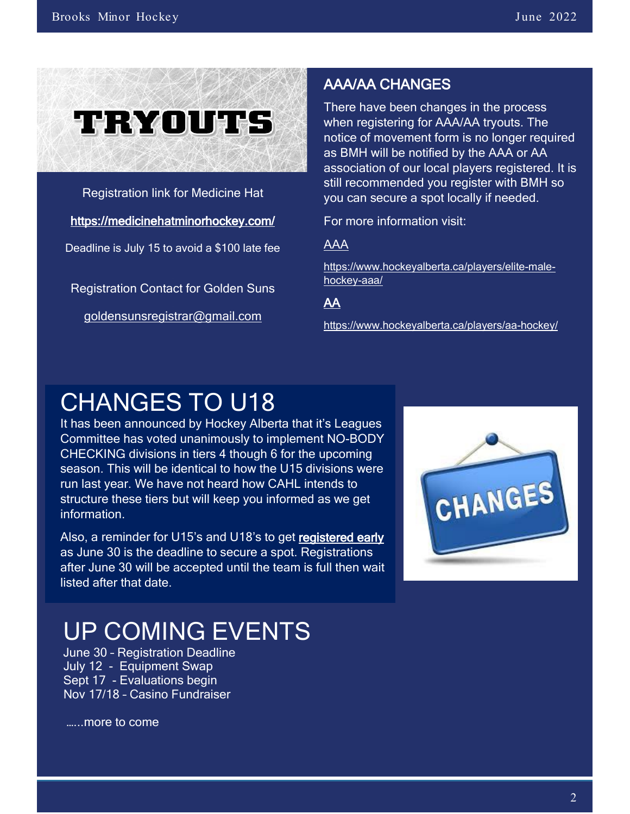

Registration link for Medicine Hat

<https://medicinehatminorhockey.com/>

Deadline is July 15 to avoid a \$100 late fee

Registration Contact for Golden Suns

[goldensunsregistrar@gmail.com](mailto:goldensunsregistrar@gmail.com)

#### AAA/AA CHANGES

There have been changes in the process when registering for AAA/AA tryouts. The notice of movement form is no longer required as BMH will be notified by the AAA or AA association of our local players registered. It is still recommended you register with BMH so you can secure a spot locally if needed.

For more information visit:

AAA

[https://www.hockeyalberta.ca/players/elite-male](https://urldefense.com/v3/__https:/hockeyalberta.cmail20.com/t/t-l-qhltryk-jrludhthdd-y/__;!!IiPVToYj!MKrX6z8MBxgcUyN-jpSKRwx-JPd2GIBqNi10mn24vUT-Bkar65gIY8h4LklbUnvWBumP9x432-5OIl97O2m0tZs$)[hockey-aaa/](https://urldefense.com/v3/__https:/hockeyalberta.cmail20.com/t/t-l-qhltryk-jrludhthdd-y/__;!!IiPVToYj!MKrX6z8MBxgcUyN-jpSKRwx-JPd2GIBqNi10mn24vUT-Bkar65gIY8h4LklbUnvWBumP9x432-5OIl97O2m0tZs$)

AA

[https://www.hockeyalberta.ca/players/aa-hockey/](https://urldefense.com/v3/__https:/hockeyalberta.cmail20.com/t/t-l-qhltryk-jrludhthdd-j/__;!!IiPVToYj!MKrX6z8MBxgcUyN-jpSKRwx-JPd2GIBqNi10mn24vUT-Bkar65gIY8h4LklbUnvWBumP9x432-5OIl97XB-dRb4$)

### CHANGES TO U18

It has been announced by Hockey Alberta that it's Leagues Committee has voted unanimously to implement NO-BODY CHECKING divisions in tiers 4 though 6 for the upcoming season. This will be identical to how the U15 divisions were run last year. We have not heard how CAHL intends to structure these tiers but will keep you informed as we get information.

Also, a reminder for U15's and U18's to get registered early as June 30 is the deadline to secure a spot. Registrations after June 30 will be accepted until the team is full then wait listed after that date.



# UP COMING EVENTS<br>June 30 - Registration Deadline

 July 12 - Equipment Swap Sept 17 - Evaluations begin Nov 17/18 – Casino Fundraiser

…...more to come